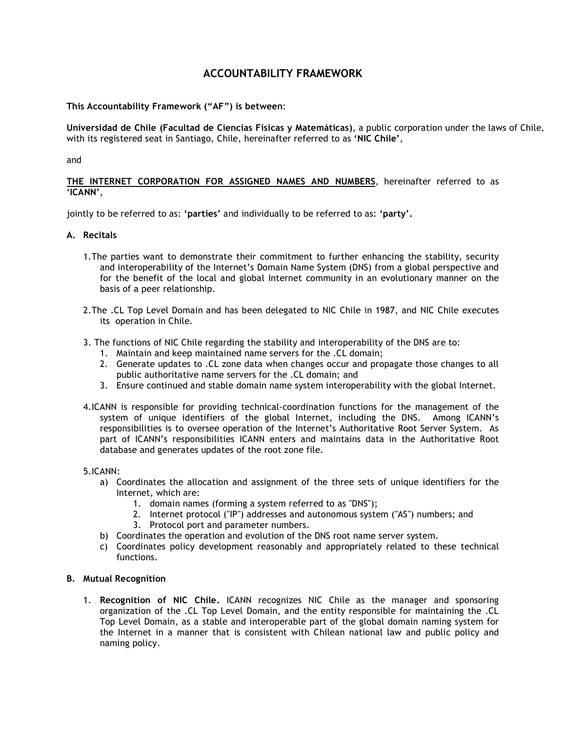# **ACCOUNTABILITY FRAMEWORK**

**This Accountability Framework ("AF") is between**:

**Universidad de Chile (Facultad de Ciencias Físicas y Matemáticas)**, a public corporation under the laws of Chile, with its registered seat in Santiago, Chile, hereinafter referred to as **'NIC Chile'**,

and

## **THE INTERNET CORPORATION FOR ASSIGNED NAMES AND NUMBERS**, hereinafter referred to as '**ICANN'**,

jointly to be referred to as: **'parties'** and individually to be referred to as: **'party'.**

# **A. Recitals**

- 1.The parties want to demonstrate their commitment to further enhancing the stability, security and interoperability of the Internet's Domain Name System (DNS) from a global perspective and for the benefit of the local and global Internet community in an evolutionary manner on the basis of a peer relationship.
- 2.The .CL Top Level Domain and has been delegated to NIC Chile in 1987, and NIC Chile executes its operation in Chile.
- 3. The functions of NIC Chile regarding the stability and interoperability of the DNS are to:
	- 1. Maintain and keep maintained name servers for the .CL domain;
	- 2. Generate updates to .CL zone data when changes occur and propagate those changes to all public authoritative name servers for the .CL domain; and
	- 3. Ensure continued and stable domain name system interoperability with the global Internet.
- 4.ICANN is responsible for providing technical-coordination functions for the management of the system of unique identifiers of the global Internet, including the DNS. Among ICANN's responsibilities is to oversee operation of the Internet's Authoritative Root Server System. As part of ICANN's responsibilities ICANN enters and maintains data in the Authoritative Root database and generates updates of the root zone file.

#### 5.ICANN:

- a) Coordinates the allocation and assignment of the three sets of unique identifiers for the Internet, which are:
	- 1. domain names (forming a system referred to as "DNS");
	- 2. Internet protocol ("IP") addresses and autonomous system ("AS") numbers; and
	- 3. Protocol port and parameter numbers.
- b) Coordinates the operation and evolution of the DNS root name server system.
- c) Coordinates policy development reasonably and appropriately related to these technical functions.

#### **B. Mutual Recognition**

1. **Recognition of NIC Chile.** ICANN recognizes NIC Chile as the manager and sponsoring organization of the .CL Top Level Domain, and the entity responsible for maintaining the .CL Top Level Domain, as a stable and interoperable part of the global domain naming system for the Internet in a manner that is consistent with Chilean national law and public policy and naming policy.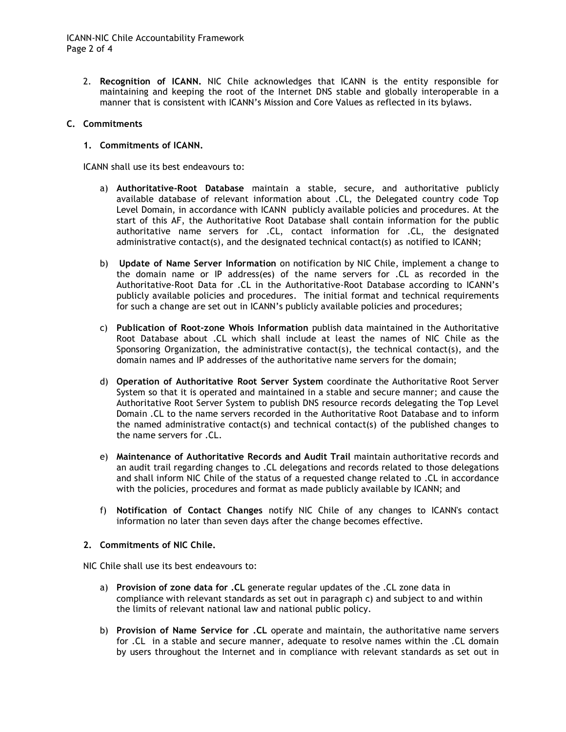2. **Recognition of ICANN.** NIC Chile acknowledges that ICANN is the entity responsible for maintaining and keeping the root of the Internet DNS stable and globally interoperable in a manner that is consistent with ICANN's Mission and Core Values as reflected in its bylaws.

## **C. Commitments**

## **1. Commitments of ICANN.**

ICANN shall use its best endeavours to:

- a) **Authoritative-Root Database** maintain a stable, secure, and authoritative publicly available database of relevant information about .CL, the Delegated country code Top Level Domain, in accordance with ICANN publicly available policies and procedures. At the start of this AF, the Authoritative Root Database shall contain information for the public authoritative name servers for .CL, contact information for .CL, the designated administrative contact(s), and the designated technical contact(s) as notified to ICANN;
- b) **Update of Name Server Information** on notification by NIC Chile, implement a change to the domain name or IP address(es) of the name servers for .CL as recorded in the Authoritative-Root Data for .CL in the Authoritative-Root Database according to ICANN's publicly available policies and procedures. The initial format and technical requirements for such a change are set out in ICANN's publicly available policies and procedures;
- c) **Publication of Root-zone Whois Information** publish data maintained in the Authoritative Root Database about .CL which shall include at least the names of NIC Chile as the Sponsoring Organization, the administrative contact(s), the technical contact(s), and the domain names and IP addresses of the authoritative name servers for the domain;
- d) **Operation of Authoritative Root Server System** coordinate the Authoritative Root Server System so that it is operated and maintained in a stable and secure manner; and cause the Authoritative Root Server System to publish DNS resource records delegating the Top Level Domain .CL to the name servers recorded in the Authoritative Root Database and to inform the named administrative contact(s) and technical contact(s) of the published changes to the name servers for .CL.
- e) **Maintenance of Authoritative Records and Audit Trail** maintain authoritative records and an audit trail regarding changes to .CL delegations and records related to those delegations and shall inform NIC Chile of the status of a requested change related to .CL in accordance with the policies, procedures and format as made publicly available by ICANN; and
- f) **Notification of Contact Changes** notify NIC Chile of any changes to ICANN's contact information no later than seven days after the change becomes effective.

#### **2. Commitments of NIC Chile.**

NIC Chile shall use its best endeavours to:

- a) **Provision of zone data for .CL** generate regular updates of the .CL zone data in compliance with relevant standards as set out in paragraph c) and subject to and within the limits of relevant national law and national public policy.
- b) **Provision of Name Service for .CL** operate and maintain, the authoritative name servers for .CL in a stable and secure manner, adequate to resolve names within the .CL domain by users throughout the Internet and in compliance with relevant standards as set out in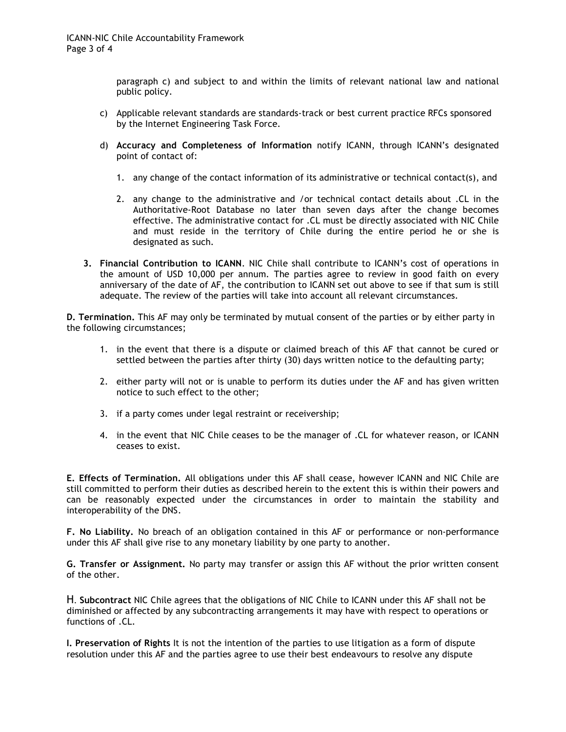paragraph c) and subject to and within the limits of relevant national law and national public policy.

- c) Applicable relevant standards are standards-track or best current practice RFCs sponsored by the Internet Engineering Task Force.
- d) **Accuracy and Completeness of Information** notify ICANN, through ICANN's designated point of contact of:
	- 1. any change of the contact information of its administrative or technical contact(s), and
	- 2. any change to the administrative and /or technical contact details about .CL in the Authoritative-Root Database no later than seven days after the change becomes effective. The administrative contact for .CL must be directly associated with NIC Chile and must reside in the territory of Chile during the entire period he or she is designated as such.
- **3. Financial Contribution to ICANN**. NIC Chile shall contribute to ICANN's cost of operations in the amount of USD 10,000 per annum. The parties agree to review in good faith on every anniversary of the date of AF, the contribution to ICANN set out above to see if that sum is still adequate. The review of the parties will take into account all relevant circumstances.

**D. Termination.** This AF may only be terminated by mutual consent of the parties or by either party in the following circumstances;

- 1. in the event that there is a dispute or claimed breach of this AF that cannot be cured or settled between the parties after thirty (30) days written notice to the defaulting party;
- 2. either party will not or is unable to perform its duties under the AF and has given written notice to such effect to the other;
- 3. if a party comes under legal restraint or receivership;
- 4. in the event that NIC Chile ceases to be the manager of .CL for whatever reason, or ICANN ceases to exist.

**E. Effects of Termination.** All obligations under this AF shall cease, however ICANN and NIC Chile are still committed to perform their duties as described herein to the extent this is within their powers and can be reasonably expected under the circumstances in order to maintain the stability and interoperability of the DNS.

**F. No Liability.** No breach of an obligation contained in this AF or performance or non-performance under this AF shall give rise to any monetary liability by one party to another.

**G. Transfer or Assignment.** No party may transfer or assign this AF without the prior written consent of the other.

H. **Subcontract** NIC Chile agrees that the obligations of NIC Chile to ICANN under this AF shall not be diminished or affected by any subcontracting arrangements it may have with respect to operations or functions of .CL.

**I. Preservation of Rights** It is not the intention of the parties to use litigation as a form of dispute resolution under this AF and the parties agree to use their best endeavours to resolve any dispute